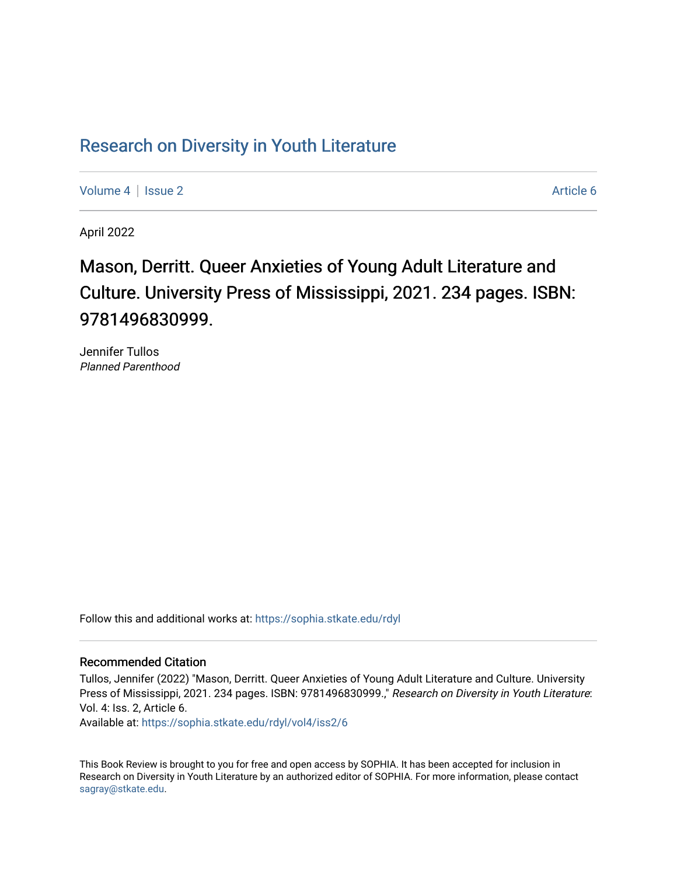## Research on Div[ersity in Youth Liter](https://sophia.stkate.edu/rdyl)ature

[Volume 4](https://sophia.stkate.edu/rdyl/vol4) | [Issue 2](https://sophia.stkate.edu/rdyl/vol4/iss2) Article 6

April 2022

## Mason, Derritt. Queer Anxieties of Young Adult Literature and Culture. University Press of Mississippi, 2021. 234 pages. ISBN: 9781496830999.

Jennifer Tullos Planned Parenthood

Follow this and additional works at: [https://sophia.stkate.edu/rdyl](https://sophia.stkate.edu/rdyl?utm_source=sophia.stkate.edu%2Frdyl%2Fvol4%2Fiss2%2F6&utm_medium=PDF&utm_campaign=PDFCoverPages) 

## Recommended Citation

Tullos, Jennifer (2022) "Mason, Derritt. Queer Anxieties of Young Adult Literature and Culture. University Press of Mississippi, 2021. 234 pages. ISBN: 9781496830999.," Research on Diversity in Youth Literature: Vol. 4: Iss. 2, Article 6.

Available at: [https://sophia.stkate.edu/rdyl/vol4/iss2/6](https://sophia.stkate.edu/rdyl/vol4/iss2/6?utm_source=sophia.stkate.edu%2Frdyl%2Fvol4%2Fiss2%2F6&utm_medium=PDF&utm_campaign=PDFCoverPages) 

This Book Review is brought to you for free and open access by SOPHIA. It has been accepted for inclusion in Research on Diversity in Youth Literature by an authorized editor of SOPHIA. For more information, please contact [sagray@stkate.edu.](mailto:sagray@stkate.edu)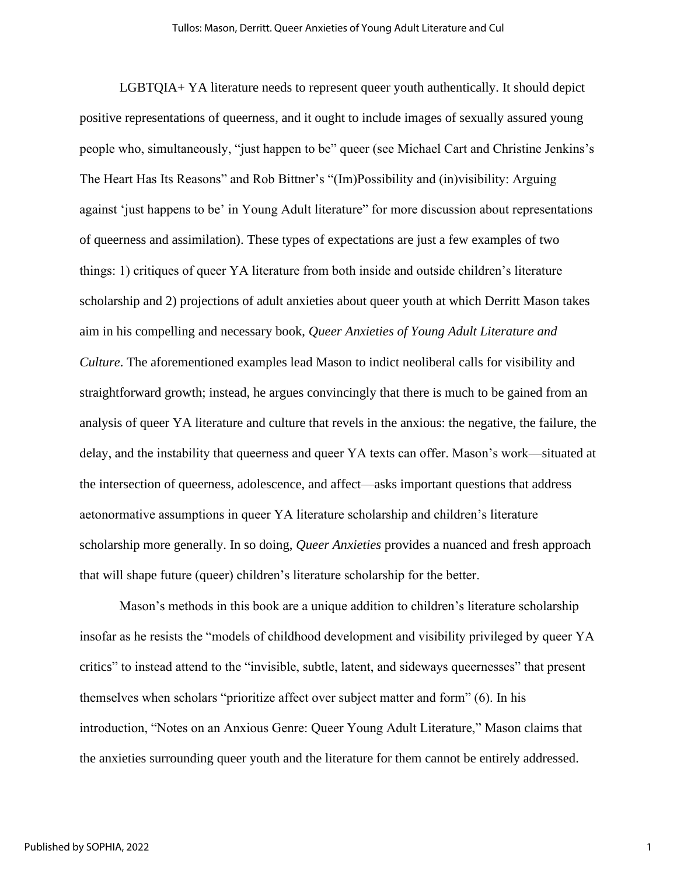LGBTQIA+ YA literature needs to represent queer youth authentically. It should depict positive representations of queerness, and it ought to include images of sexually assured young people who, simultaneously, "just happen to be" queer (see Michael Cart and Christine Jenkins's The Heart Has Its Reasons" and Rob Bittner's "(Im)Possibility and (in)visibility: Arguing against 'just happens to be' in Young Adult literature" for more discussion about representations of queerness and assimilation). These types of expectations are just a few examples of two things: 1) critiques of queer YA literature from both inside and outside children's literature scholarship and 2) projections of adult anxieties about queer youth at which Derritt Mason takes aim in his compelling and necessary book, *Queer Anxieties of Young Adult Literature and Culture*. The aforementioned examples lead Mason to indict neoliberal calls for visibility and straightforward growth; instead, he argues convincingly that there is much to be gained from an analysis of queer YA literature and culture that revels in the anxious: the negative, the failure, the delay, and the instability that queerness and queer YA texts can offer. Mason's work—situated at the intersection of queerness, adolescence, and affect—asks important questions that address aetonormative assumptions in queer YA literature scholarship and children's literature scholarship more generally. In so doing, *Queer Anxieties* provides a nuanced and fresh approach that will shape future (queer) children's literature scholarship for the better.

Mason's methods in this book are a unique addition to children's literature scholarship insofar as he resists the "models of childhood development and visibility privileged by queer YA critics" to instead attend to the "invisible, subtle, latent, and sideways queernesses" that present themselves when scholars "prioritize affect over subject matter and form" (6). In his introduction, "Notes on an Anxious Genre: Queer Young Adult Literature," Mason claims that the anxieties surrounding queer youth and the literature for them cannot be entirely addressed.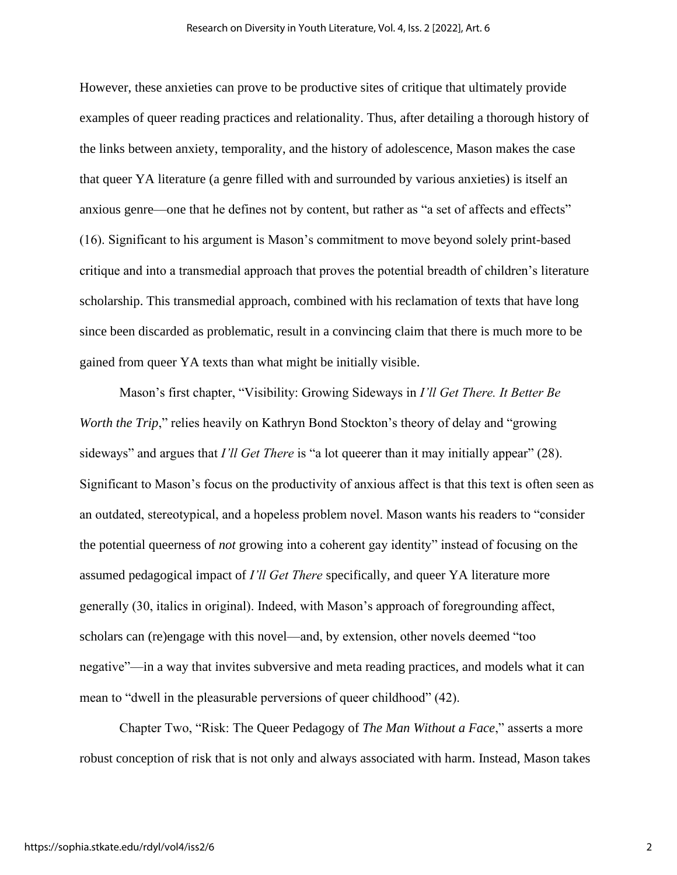However, these anxieties can prove to be productive sites of critique that ultimately provide examples of queer reading practices and relationality. Thus, after detailing a thorough history of the links between anxiety, temporality, and the history of adolescence, Mason makes the case that queer YA literature (a genre filled with and surrounded by various anxieties) is itself an anxious genre—one that he defines not by content, but rather as "a set of affects and effects" (16). Significant to his argument is Mason's commitment to move beyond solely print-based critique and into a transmedial approach that proves the potential breadth of children's literature scholarship. This transmedial approach, combined with his reclamation of texts that have long since been discarded as problematic, result in a convincing claim that there is much more to be gained from queer YA texts than what might be initially visible.

Mason's first chapter, "Visibility: Growing Sideways in *I'll Get There. It Better Be Worth the Trip*," relies heavily on Kathryn Bond Stockton's theory of delay and "growing" sideways" and argues that *I'll Get There* is "a lot queerer than it may initially appear" (28). Significant to Mason's focus on the productivity of anxious affect is that this text is often seen as an outdated, stereotypical, and a hopeless problem novel. Mason wants his readers to "consider the potential queerness of *not* growing into a coherent gay identity" instead of focusing on the assumed pedagogical impact of *I'll Get There* specifically, and queer YA literature more generally (30, italics in original). Indeed, with Mason's approach of foregrounding affect, scholars can (re)engage with this novel—and, by extension, other novels deemed "too negative"—in a way that invites subversive and meta reading practices, and models what it can mean to "dwell in the pleasurable perversions of queer childhood" (42).

Chapter Two, "Risk: The Queer Pedagogy of *The Man Without a Face*," asserts a more robust conception of risk that is not only and always associated with harm. Instead, Mason takes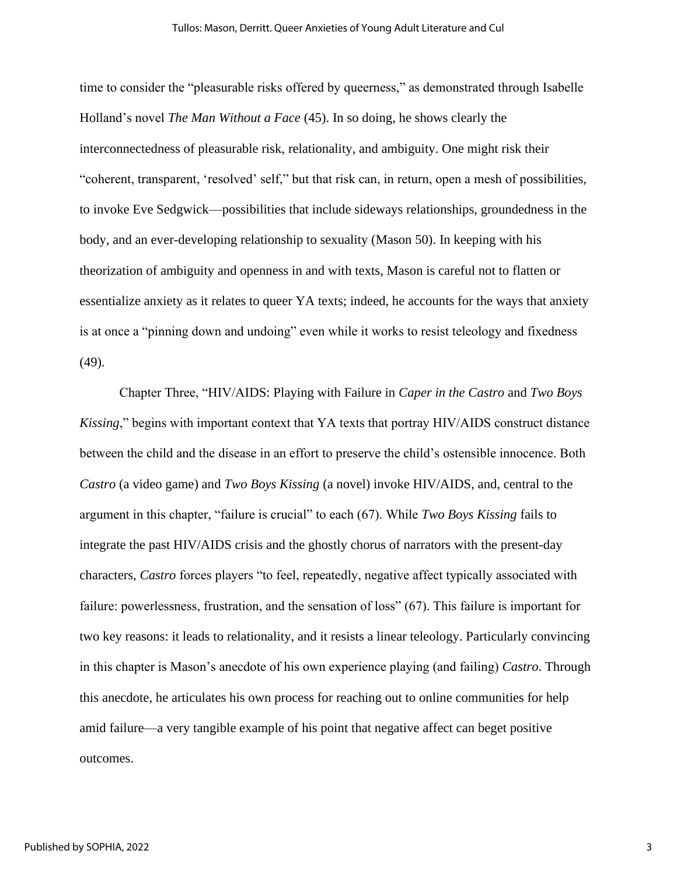time to consider the "pleasurable risks offered by queerness," as demonstrated through Isabelle Holland's novel *The Man Without a Face* (45). In so doing, he shows clearly the interconnectedness of pleasurable risk, relationality, and ambiguity. One might risk their "coherent, transparent, 'resolved' self," but that risk can, in return, open a mesh of possibilities, to invoke Eve Sedgwick—possibilities that include sideways relationships, groundedness in the body, and an ever-developing relationship to sexuality (Mason 50). In keeping with his theorization of ambiguity and openness in and with texts, Mason is careful not to flatten or essentialize anxiety as it relates to queer YA texts; indeed, he accounts for the ways that anxiety is at once a "pinning down and undoing" even while it works to resist teleology and fixedness (49).

Chapter Three, "HIV/AIDS: Playing with Failure in *Caper in the Castro* and *Two Boys Kissing*," begins with important context that YA texts that portray HIV/AIDS construct distance between the child and the disease in an effort to preserve the child's ostensible innocence. Both *Castro* (a video game) and *Two Boys Kissing* (a novel) invoke HIV/AIDS, and, central to the argument in this chapter, "failure is crucial" to each (67). While *Two Boys Kissing* fails to integrate the past HIV/AIDS crisis and the ghostly chorus of narrators with the present-day characters, *Castro* forces players "to feel, repeatedly, negative affect typically associated with failure: powerlessness, frustration, and the sensation of loss" (67). This failure is important for two key reasons: it leads to relationality, and it resists a linear teleology. Particularly convincing in this chapter is Mason's anecdote of his own experience playing (and failing) *Castro*. Through this anecdote, he articulates his own process for reaching out to online communities for help amid failure—a very tangible example of his point that negative affect can beget positive outcomes.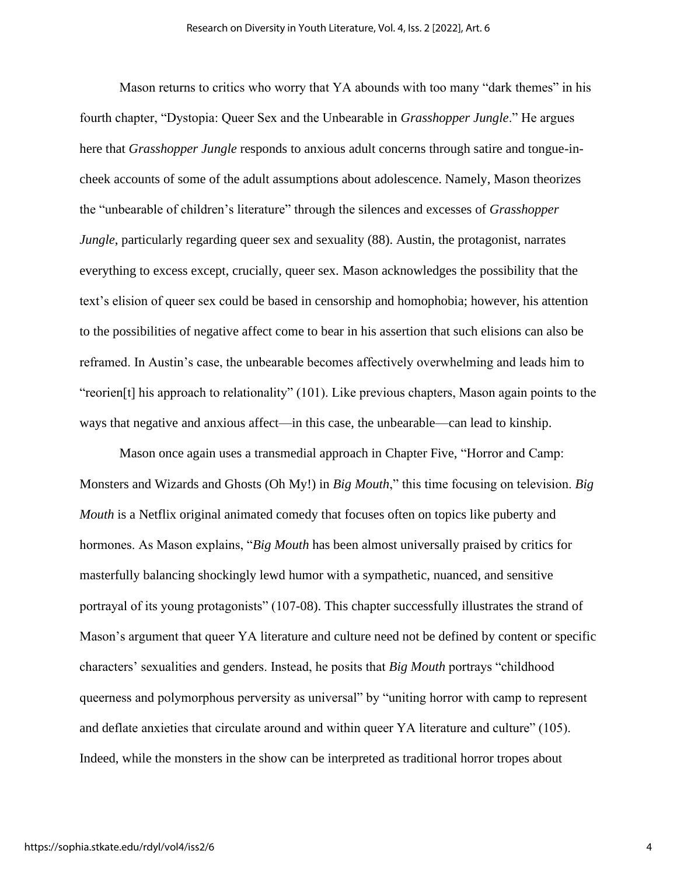Mason returns to critics who worry that YA abounds with too many "dark themes" in his fourth chapter, "Dystopia: Queer Sex and the Unbearable in *Grasshopper Jungle*." He argues here that *Grasshopper Jungle* responds to anxious adult concerns through satire and tongue-incheek accounts of some of the adult assumptions about adolescence. Namely, Mason theorizes the "unbearable of children's literature" through the silences and excesses of *Grasshopper Jungle*, particularly regarding queer sex and sexuality (88). Austin, the protagonist, narrates everything to excess except, crucially, queer sex. Mason acknowledges the possibility that the text's elision of queer sex could be based in censorship and homophobia; however, his attention to the possibilities of negative affect come to bear in his assertion that such elisions can also be reframed. In Austin's case, the unbearable becomes affectively overwhelming and leads him to "reorien[t] his approach to relationality" (101). Like previous chapters, Mason again points to the ways that negative and anxious affect—in this case, the unbearable—can lead to kinship.

Mason once again uses a transmedial approach in Chapter Five, "Horror and Camp: Monsters and Wizards and Ghosts (Oh My!) in *Big Mouth*," this time focusing on television. *Big Mouth* is a Netflix original animated comedy that focuses often on topics like puberty and hormones. As Mason explains, "*Big Mouth* has been almost universally praised by critics for masterfully balancing shockingly lewd humor with a sympathetic, nuanced, and sensitive portrayal of its young protagonists" (107-08). This chapter successfully illustrates the strand of Mason's argument that queer YA literature and culture need not be defined by content or specific characters' sexualities and genders. Instead, he posits that *Big Mouth* portrays "childhood queerness and polymorphous perversity as universal" by "uniting horror with camp to represent and deflate anxieties that circulate around and within queer YA literature and culture" (105). Indeed, while the monsters in the show can be interpreted as traditional horror tropes about

4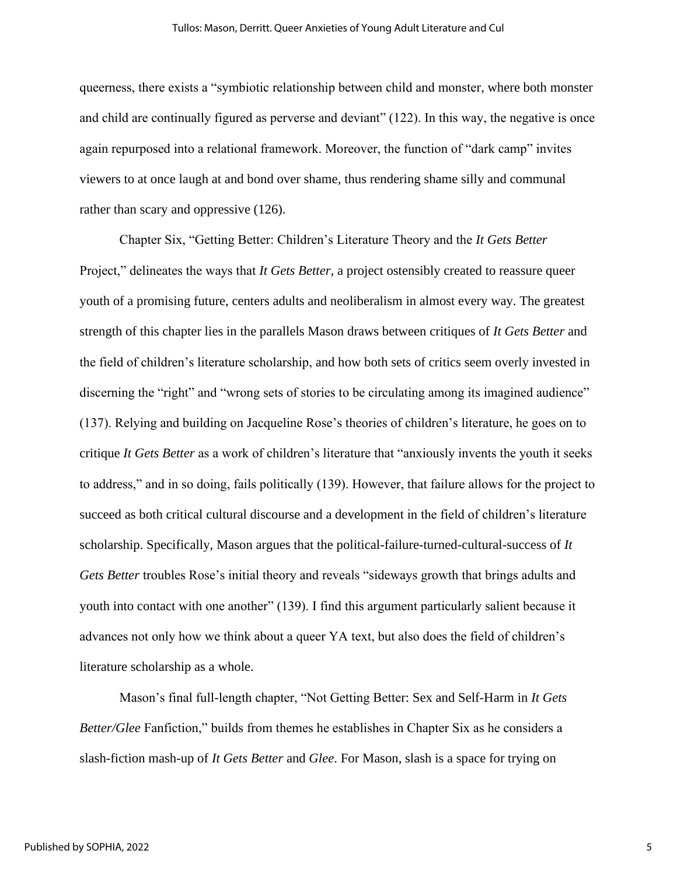queerness, there exists a "symbiotic relationship between child and monster, where both monster and child are continually figured as perverse and deviant" (122). In this way, the negative is once again repurposed into a relational framework. Moreover, the function of "dark camp" invites viewers to at once laugh at and bond over shame, thus rendering shame silly and communal rather than scary and oppressive (126).

Chapter Six, "Getting Better: Children's Literature Theory and the *It Gets Better*  Project," delineates the ways that *It Gets Better*, a project ostensibly created to reassure queer youth of a promising future, centers adults and neoliberalism in almost every way. The greatest strength of this chapter lies in the parallels Mason draws between critiques of *It Gets Better* and the field of children's literature scholarship, and how both sets of critics seem overly invested in discerning the "right" and "wrong sets of stories to be circulating among its imagined audience" (137). Relying and building on Jacqueline Rose's theories of children's literature, he goes on to critique *It Gets Better* as a work of children's literature that "anxiously invents the youth it seeks to address," and in so doing, fails politically (139). However, that failure allows for the project to succeed as both critical cultural discourse and a development in the field of children's literature scholarship. Specifically, Mason argues that the political-failure-turned-cultural-success of *It Gets Better* troubles Rose's initial theory and reveals "sideways growth that brings adults and youth into contact with one another" (139). I find this argument particularly salient because it advances not only how we think about a queer YA text, but also does the field of children's literature scholarship as a whole.

Mason's final full-length chapter, "Not Getting Better: Sex and Self-Harm in *It Gets Better/Glee* Fanfiction," builds from themes he establishes in Chapter Six as he considers a slash-fiction mash-up of *It Gets Better* and *Glee*. For Mason, slash is a space for trying on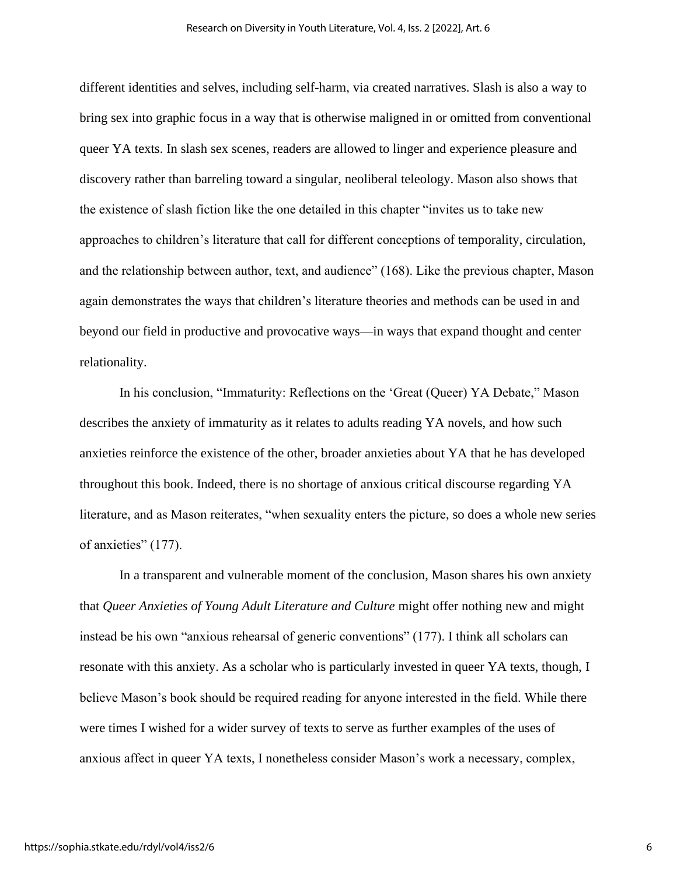different identities and selves, including self-harm, via created narratives. Slash is also a way to bring sex into graphic focus in a way that is otherwise maligned in or omitted from conventional queer YA texts. In slash sex scenes, readers are allowed to linger and experience pleasure and discovery rather than barreling toward a singular, neoliberal teleology. Mason also shows that the existence of slash fiction like the one detailed in this chapter "invites us to take new approaches to children's literature that call for different conceptions of temporality, circulation, and the relationship between author, text, and audience" (168). Like the previous chapter, Mason again demonstrates the ways that children's literature theories and methods can be used in and beyond our field in productive and provocative ways—in ways that expand thought and center relationality.

In his conclusion, "Immaturity: Reflections on the 'Great (Queer) YA Debate," Mason describes the anxiety of immaturity as it relates to adults reading YA novels, and how such anxieties reinforce the existence of the other, broader anxieties about YA that he has developed throughout this book. Indeed, there is no shortage of anxious critical discourse regarding YA literature, and as Mason reiterates, "when sexuality enters the picture, so does a whole new series of anxieties" (177).

In a transparent and vulnerable moment of the conclusion, Mason shares his own anxiety that *Queer Anxieties of Young Adult Literature and Culture* might offer nothing new and might instead be his own "anxious rehearsal of generic conventions" (177). I think all scholars can resonate with this anxiety. As a scholar who is particularly invested in queer YA texts, though, I believe Mason's book should be required reading for anyone interested in the field. While there were times I wished for a wider survey of texts to serve as further examples of the uses of anxious affect in queer YA texts, I nonetheless consider Mason's work a necessary, complex,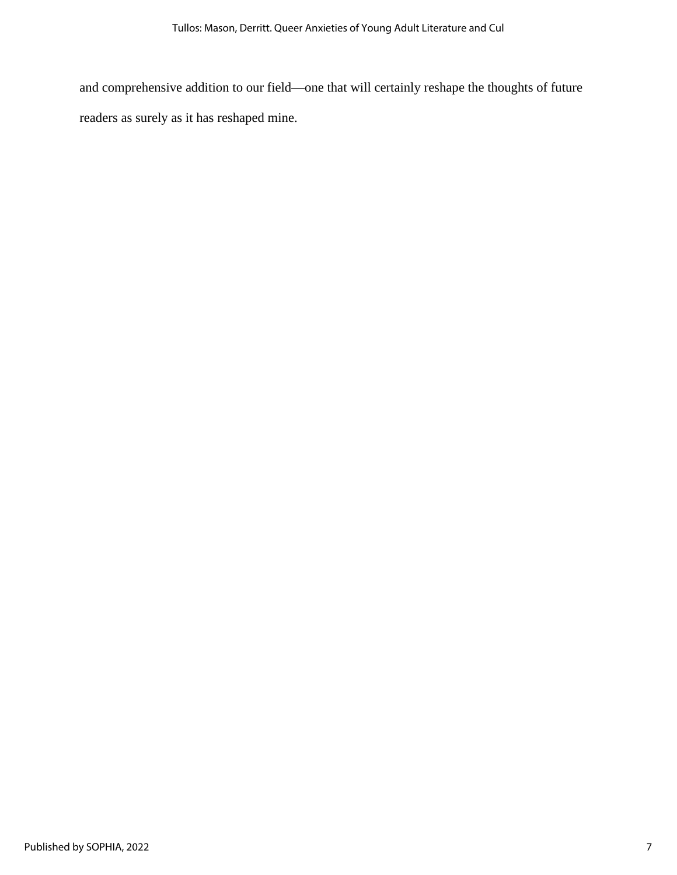and comprehensive addition to our field—one that will certainly reshape the thoughts of future readers as surely as it has reshaped mine.